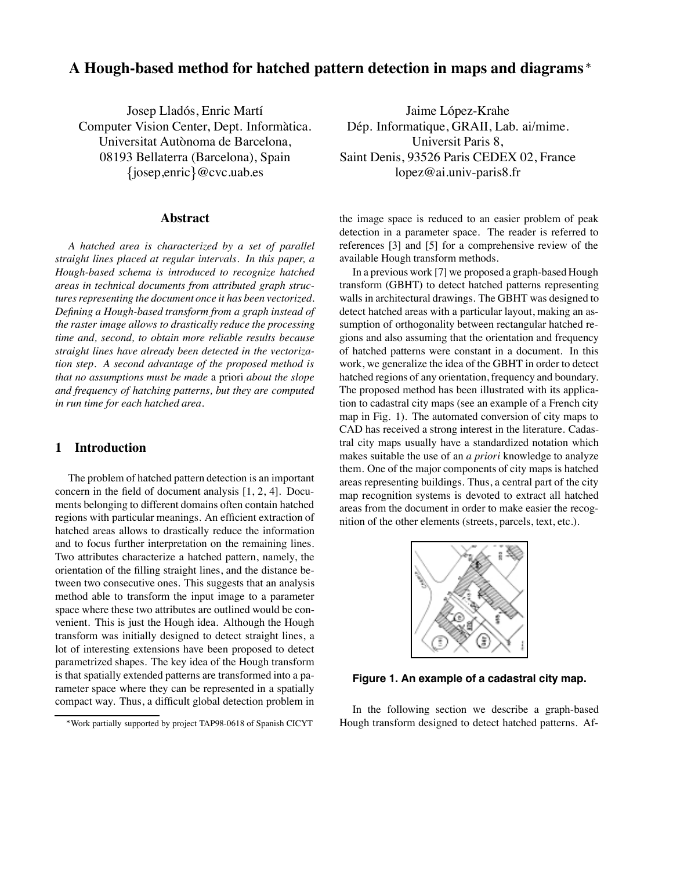# **A Hough-based method for hatched pattern detection in maps and diagrams**

Josep Lladós, Enric Martí Computer Vision Center, Dept. Informàtica. Universitat Autònoma de Barcelona, 08193 Bellaterra (Barcelona), Spain  $\{josep, enric\}$ @cvc.uab.es

### **Abstract**

*A hatched area is characterized by a set of parallel straight lines placed at regular intervals. In this paper, a Hough-based schema is introduced to recognize hatched areas in technical documents from attributed graph structures representing the document once it has been vectorized. Defining a Hough-based transform from a graph instead of the raster image allows to drastically reduce the processing time and, second, to obtain more reliable results because straight lines have already been detected in the vectorization step. A second advantage of the proposed method is that no assumptions must be made* a priori *about the slope and frequency of hatching patterns, but they are computed in run time for each hatched area.*

## **1 Introduction**

The problem of hatched pattern detection is an important concern in the field of document analysis [1, 2, 4]. Documents belonging to different domains often contain hatched regions with particular meanings. An efficient extraction of hatched areas allows to drastically reduce the information and to focus further interpretation on the remaining lines. Two attributes characterize a hatched pattern, namely, the orientation of the filling straight lines, and the distance between two consecutive ones. This suggests that an analysis method able to transform the input image to a parameter space where these two attributes are outlined would be convenient. This is just the Hough idea. Although the Hough transform was initially designed to detect straight lines, a lot of interesting extensions have been proposed to detect parametrized shapes. The key idea of the Hough transform is that spatially extended patterns are transformed into a parameter space where they can be represented in a spatially compact way. Thus, a difficult global detection problem in

Jaime López-Krahe Dép. Informatique, GRAII, Lab. ai/mime. Universit Paris 8, Saint Denis, 93526 Paris CEDEX 02, France lopez@ai.univ-paris8.fr

the image space is reduced to an easier problem of peak detection in a parameter space. The reader is referred to references [3] and [5] for a comprehensive review of the available Hough transform methods.

In a previous work [7] we proposed a graph-based Hough transform (GBHT) to detect hatched patterns representing walls in architectural drawings. The GBHT was designed to detect hatched areas with a particular layout, making an assumption of orthogonality between rectangular hatched regions and also assuming that the orientation and frequency of hatched patterns were constant in a document. In this work, we generalize the idea of the GBHT in order to detect hatched regions of any orientation, frequency and boundary. The proposed method has been illustrated with its application to cadastral city maps (see an example of a French city map in Fig. 1). The automated conversion of city maps to CAD has received a strong interest in the literature. Cadastral city maps usually have a standardized notation which makes suitable the use of an *a priori* knowledge to analyze them. One of the major components of city maps is hatched areas representing buildings. Thus, a central part of the city map recognition systems is devoted to extract all hatched areas from the document in order to make easier the recognition of the other elements (streets, parcels, text, etc.).



**Figure 1. An example of a cadastral city map.**

In the following section we describe a graph-based Hough transform designed to detect hatched patterns. Af-

Work partially supported by project TAP98-0618 of Spanish CICYT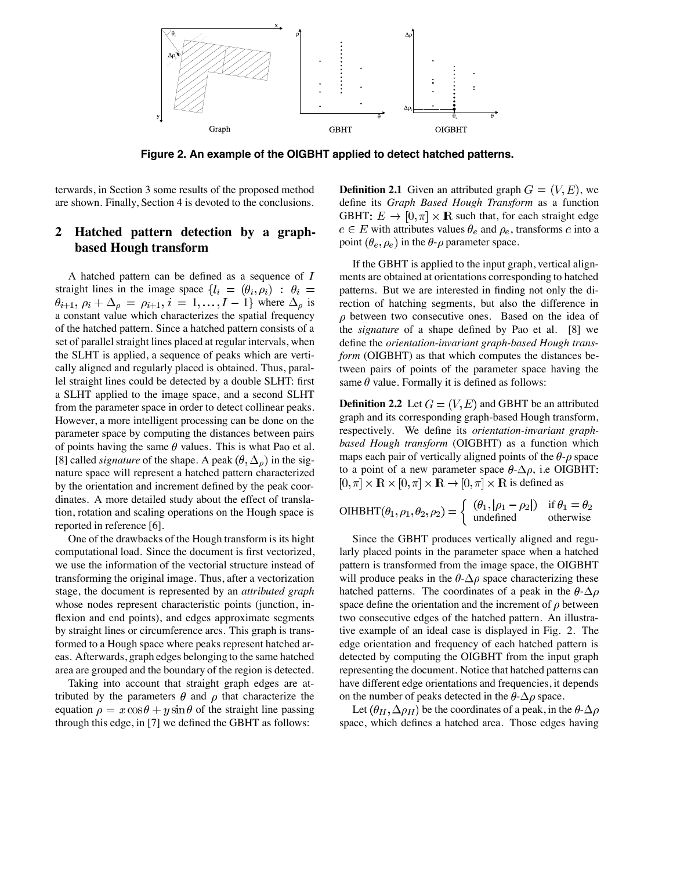

**Figure 2. An example of the OIGBHT applied to detect hatched patterns.**

terwards, in Section 3 some results of the proposed method are shown. Finally, Section 4 is devoted to the conclusions.

# **2 Hatched pattern detection by a graphbased Hough transform**

A hatched pattern can be defined as a sequence of  $I$ straight lines in the image space  $\{l_i = (\theta_i, \rho_i) : \theta_i =$  $\theta_{i+1}, \rho_i + \Delta_\rho = \rho_{i+1}, i = 1, \ldots, I-1$  where  $\Delta_\rho$  is a constant value which characterizes the spatial frequency of the hatched pattern. Since a hatched pattern consists of a set of parallel straight lines placed at regular intervals, when the SLHT is applied, a sequence of peaks which are vertically aligned and regularly placed is obtained. Thus, parallel straight lines could be detected by a double SLHT: first a SLHT applied to the image space, and a second SLHT from the parameter space in order to detect collinear peaks. However, a more intelligent processing can be done on the parameter space by computing the distances between pairs of points having the same  $\theta$  values. This is what Pao et al. [8] called *signature* of the shape. A peak  $(\theta, \Delta_{\rho})$  in the signature space will represent a hatched pattern characterized by the orientation and increment defined by the peak coordinates. A more detailed study about the effect of translation, rotation and scaling operations on the Hough space is reported in reference [6].

One of the drawbacks of the Hough transform is its hight computational load. Since the document is first vectorized, we use the information of the vectorial structure instead of transforming the original image. Thus, after a vectorization stage, the document is represented by an *attributed graph* whose nodes represent characteristic points (junction, inflexion and end points), and edges approximate segments by straight lines or circumference arcs. This graph is transformed to a Hough space where peaks represent hatched areas. Afterwards, graph edges belonging to the same hatched area are grouped and the boundary of the region is detected.

Taking into account that straight graph edges are attributed by the parameters  $\theta$  and  $\rho$  that characterize the equation  $\rho = x \cos \theta + y \sin \theta$  of the straight line passing through this edge, in [7] we defined the GBHT as follows:

**Definition 2.1** Given an attributed graph  $G = (V, E)$ , we define its *Graph Based Hough Transform* as a function GBHT:  $E \to [0, \pi] \times \mathbb{R}$  such that, for each straight edge  $e \in E$  with attributes values  $\theta_e$  and  $\rho_e$ , transforms e into a point  $(\theta_e, \rho_e)$  in the  $\theta$ - $\rho$  parameter space.

If the GBHT is applied to the input graph, vertical alignments are obtained at orientations corresponding to hatched patterns. But we are interested in finding not only the direction of hatching segments, but also the difference in  $\rho$  between two consecutive ones. Based on the idea of the *signature* of a shape defined by Pao et al. [8] we define the *orientation-invariant graph-based Hough transform* (OIGBHT) as that which computes the distances between pairs of points of the parameter space having the same  $\theta$  value. Formally it is defined as follows:

**Definition 2.2** Let  $G = (V, E)$  and GBHT be an attributed graph and its corresponding graph-based Hough transform, respectively. We define its *orientation-invariant graphbased Hough transform* (OIGBHT) as a function which maps each pair of vertically aligned points of the  $\theta$ - $\rho$  space to a point of a new parameter space  $\theta$ - $\Delta \rho$ , i.e OIGBHT:  $[0, \pi] \times \mathbb{R} \times [0, \pi] \times \mathbb{R} \to [0, \pi] \times \mathbb{R}$  is defined as

$$
\text{OIHBHT}(\theta_1, \rho_1, \theta_2, \rho_2) = \begin{cases} (\theta_1, |\rho_1 - \rho_2|) & \text{if } \theta_1 = \theta_2 \\ \text{undefined} & \text{otherwise} \end{cases}
$$

Since the GBHT produces vertically aligned and regularly placed points in the parameter space when a hatched pattern is transformed from the image space, the OIGBHT will produce peaks in the  $\theta$ - $\Delta \rho$  space characterizing these hatched patterns. The coordinates of a peak in the  $\theta$ - $\Delta \rho$ space define the orientation and the increment of  $\rho$  between two consecutive edges of the hatched pattern. An illustrative example of an ideal case is displayed in Fig. 2. The edge orientation and frequency of each hatched pattern is detected by computing the OIGBHT from the input graph representing the document. Notice that hatched patterns can have different edge orientations and frequencies, it depends on the number of peaks detected in the  $\theta$ - $\Delta \rho$  space.

Let  $(\theta_H, \Delta \rho_H)$  be the coordinates of a peak, in the  $\theta$ - $\Delta \rho$ space, which defines a hatched area. Those edges having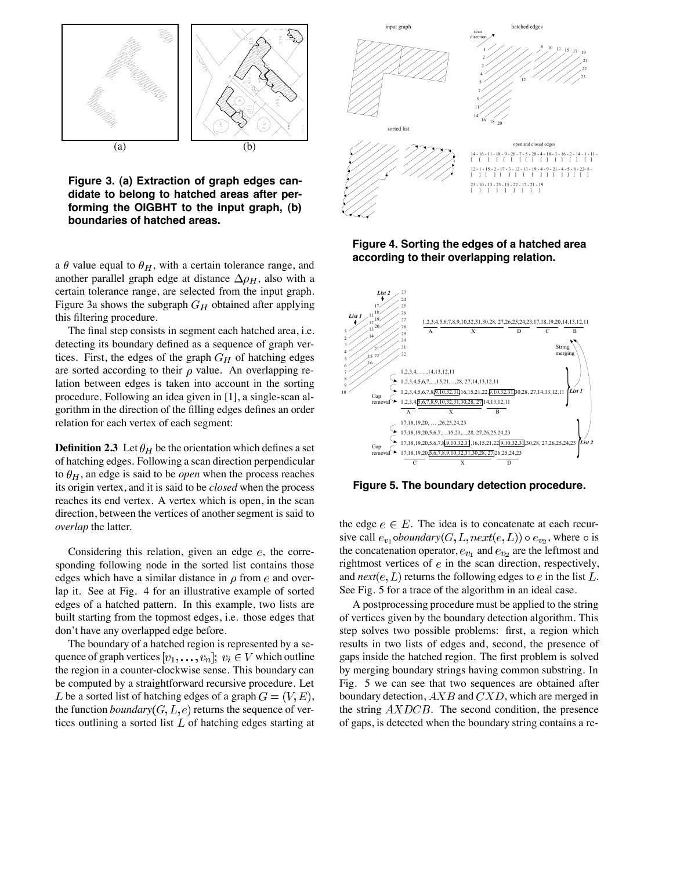

**Figure 3. (a) Extraction of graph edges candidate to belong to hatched areas after performing the OIGBHT to the input graph, (b) boundaries of hatched areas.**

a  $\theta$  value equal to  $\theta_H$ , with a certain tolerance range, and another parallel graph edge at distance  $\Delta \rho_H$ , also with a certain tolerance range, are selected from the input graph. Figure 3a shows the subgraph  $G_H$  obtained after applying this filtering procedure.

The final step consists in segment each hatched area, i.e. detecting its boundary defined as a sequence of graph vertices. First, the edges of the graph  $G_H$  of hatching edges are sorted according to their  $\rho$  value. An overlapping relation between edges is taken into account in the sorting procedure. Following an idea given in [1], a single-scan algorithm in the direction of the filling edges defines an order relation for each vertex of each segment:

**Definition 2.3** Let  $\theta_H$  be the orientation which defines a set of hatching edges. Following a scan direction perpendicular to  $\theta_H$ , an edge is said to be *open* when the process reaches its origin vertex, and it is said to be *closed* when the process reaches its end vertex. A vertex which is open, in the scan direction, between the vertices of another segment is said to *overlap* the latter.

Considering this relation, given an edge  $e$ , the corresponding following node in the sorted list contains those edges which have a similar distance in  $\rho$  from  $e$  and overlap it. See at Fig. 4 for an illustrative example of sorted edges of a hatched pattern. In this example, two lists are built starting from the topmost edges, i.e. those edges that don't have any overlapped edge before.

The boundary of a hatched region is represented by a sequence of graph vertices  $[v_1, \ldots, v_n]; v_i \in V$  which outline the region in a counter-clockwise sense. This boundary can be computed by a straightforward recursive procedure. Let L be a sorted list of hatching edges of a graph  $G = (V, E)$ , the function *boundary*  $(G, L, e)$  returns the sequence of vertices outlining a sorted list  $L$  of hatching edges starting at



**Figure 4. Sorting the edges of a hatched area according to their overlapping relation.**



**Figure 5. The boundary detection procedure.**

the edge  $e \in E$ . The idea is to concatenate at each recursive call  $e_{v_1}$  *oboundary*  $(G, L, next(e, L)) \circ e_{v_2}$ , where  $\circ$  is the concatenation operator,  $e_{v_1}$  and  $e_{v_2}$  are the leftmost and rightmost vertices of  $e$  in the scan direction, respectively, and  $next(e, L)$  returns the following edges to  $e$  in the list  $L$ . See Fig. 5 for a trace of the algorithm in an ideal case.

A postprocessing procedure must be applied to the string of vertices given by the boundary detection algorithm. This step solves two possible problems: first, a region which results in two lists of edges and, second, the presence of gaps inside the hatched region. The first problem is solved by merging boundary strings having common substring. In Fig. 5 we can see that two sequences are obtained after boundary detection,  $A X B$  and  $C X D$ , which are merged in the string  $AXDCB$ . The second condition, the presence of gaps, is detected when the boundary string contains a re-